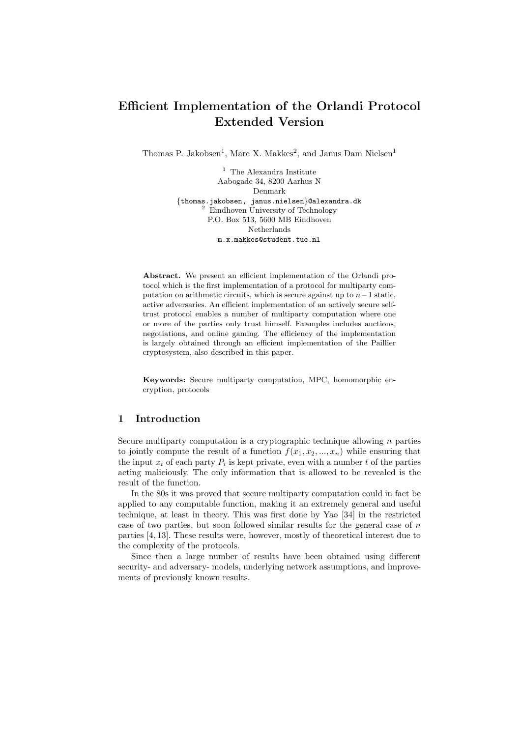# Efficient Implementation of the Orlandi Protocol Extended Version

Thomas P. Jakobsen<sup>1</sup>, Marc X. Makkes<sup>2</sup>, and Janus Dam Nielsen<sup>1</sup>

 $^{\rm 1}$  The Alexandra Institute Aabogade 34, 8200 Aarhus N Denmark {thomas.jakobsen, janus.nielsen}@alexandra.dk <sup>2</sup> Eindhoven University of Technology P.O. Box 513, 5600 MB Eindhoven Netherlands m.x.makkes@student.tue.nl

Abstract. We present an efficient implementation of the Orlandi protocol which is the first implementation of a protocol for multiparty computation on arithmetic circuits, which is secure against up to  $n-1$  static. active adversaries. An efficient implementation of an actively secure selftrust protocol enables a number of multiparty computation where one or more of the parties only trust himself. Examples includes auctions, negotiations, and online gaming. The efficiency of the implementation is largely obtained through an efficient implementation of the Paillier cryptosystem, also described in this paper.

Keywords: Secure multiparty computation, MPC, homomorphic encryption, protocols

# 1 Introduction

Secure multiparty computation is a cryptographic technique allowing  $n$  parties to jointly compute the result of a function  $f(x_1, x_2, ..., x_n)$  while ensuring that the input  $x_i$  of each party  $P_i$  is kept private, even with a number t of the parties acting maliciously. The only information that is allowed to be revealed is the result of the function.

In the 80s it was proved that secure multiparty computation could in fact be applied to any computable function, making it an extremely general and useful technique, at least in theory. This was first done by Yao [34] in the restricted case of two parties, but soon followed similar results for the general case of  $n$ parties [4, 13]. These results were, however, mostly of theoretical interest due to the complexity of the protocols.

Since then a large number of results have been obtained using different security- and adversary- models, underlying network assumptions, and improvements of previously known results.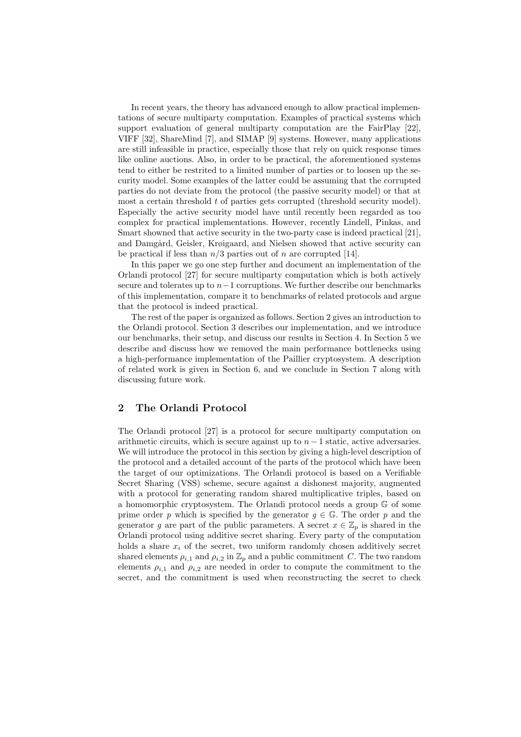In recent years, the theory has advanced enough to allow practical implementations of secure multiparty computation. Examples of practical systems which support evaluation of general multiparty computation are the FairPlay [22], VIFF [32], ShareMind [7], and SIMAP [9] systems. However, many applications are still infeasible in practice, especially those that rely on quick response times like online auctions. Also, in order to be practical, the aforementioned systems tend to either be restrited to a limited number of parties or to loosen up the security model. Some examples of the latter could be assuming that the corrupted parties do not deviate from the protocol (the passive security model) or that at most a certain threshold  $t$  of parties gets corrupted (threshold security model). Especially the active security model have until recently been regarded as too complex for practical implementations. However, recently Lindell, Pinkas, and Smart showned that active security in the two-party case is indeed practical [21], and Damgård, Geisler, Krøigaard, and Nielsen showed that active security can be practical if less than  $n/3$  parties out of n are corrupted [14].

In this paper we go one step further and document an implementation of the Orlandi protocol [27] for secure multiparty computation which is both actively secure and tolerates up to  $n-1$  corruptions. We further describe our benchmarks of this implementation, compare it to benchmarks of related protocols and argue that the protocol is indeed practical.

The rest of the paper is organized as follows. Section 2 gives an introduction to the Orlandi protocol. Section 3 describes our implementation, and we introduce our benchmarks, their setup, and discuss our results in Section 4. In Section 5 we describe and discuss how we removed the main performance bottlenecks using a high-performance implementation of the Paillier cryptosystem. A description of related work is given in Section 6, and we conclude in Section 7 along with discussing future work.

# 2 The Orlandi Protocol

The Orlandi protocol [27] is a protocol for secure multiparty computation on arithmetic circuits, which is secure against up to  $n - 1$  static, active adversaries. We will introduce the protocol in this section by giving a high-level description of the protocol and a detailed account of the parts of the protocol which have been the target of our optimizations. The Orlandi protocol is based on a Verifiable Secret Sharing (VSS) scheme, secure against a dishonest majority, augmented with a protocol for generating random shared multiplicative triples, based on a homomorphic cryptosystem. The Orlandi protocol needs a group G of some prime order p which is specified by the generator  $g \in \mathbb{G}$ . The order p and the generator g are part of the public parameters. A secret  $x \in \mathbb{Z}_p$  is shared in the Orlandi protocol using additive secret sharing. Every party of the computation holds a share  $x_i$  of the secret, two uniform randomly chosen additively secret shared elements  $\rho_{i,1}$  and  $\rho_{i,2}$  in  $\mathbb{Z}_p$  and a public commitment C. The two random elements  $\rho_{i,1}$  and  $\rho_{i,2}$  are needed in order to compute the commitment to the secret, and the commitment is used when reconstructing the secret to check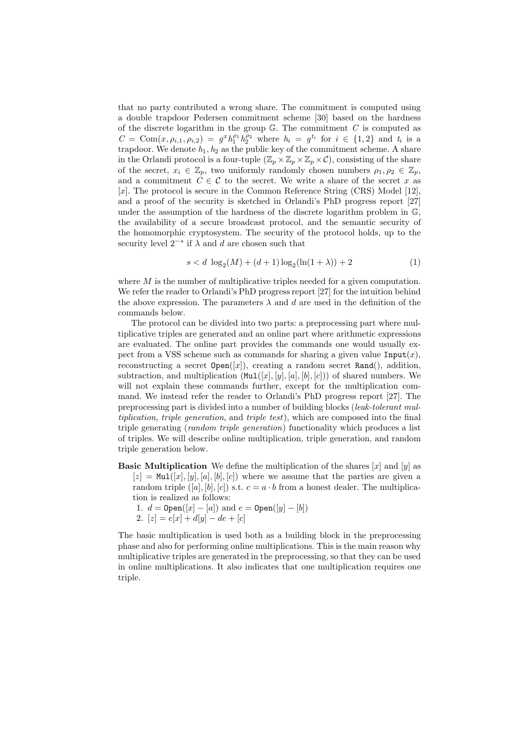that no party contributed a wrong share. The commitment is computed using a double trapdoor Pedersen commitment scheme [30] based on the hardness of the discrete logarithm in the group  $\mathbb{G}$ . The commitment  $C$  is computed as  $C = \text{Com}(x, \rho_{i,1}, \rho_{i,2}) = g^x h_1^{\rho_1} h_2^{\rho_2}$  where  $h_i = g^{t_i}$  for  $i \in \{1,2\}$  and  $t_i$  is a trapdoor. We denote  $h_1, h_2$  as the public key of the commitment scheme. A share in the Orlandi protocol is a four-tuple  $(\mathbb{Z}_p \times \mathbb{Z}_p \times \mathbb{Z}_p \times \mathcal{C})$ , consisting of the share of the secret,  $x_i \in \mathbb{Z}_p$ , two uniformly randomly chosen numbers  $\rho_1, \rho_2 \in \mathbb{Z}_p$ , and a commitment  $C \in \mathcal{C}$  to the secret. We write a share of the secret x as [x]. The protocol is secure in the Common Reference String (CRS) Model [12], and a proof of the security is sketched in Orlandi's PhD progress report [27] under the assumption of the hardness of the discrete logarithm problem in G, the availability of a secure broadcast protocol, and the semantic security of the homomorphic cryptosystem. The security of the protocol holds, up to the security level  $2^{-s}$  if  $\lambda$  and d are chosen such that

$$
s < d \log_2(M) + (d+1)\log_2(\ln(1+\lambda)) + 2 \tag{1}
$$

where  $M$  is the number of multiplicative triples needed for a given computation. We refer the reader to Orlandi's PhD progress report [27] for the intuition behind the above expression. The parameters  $\lambda$  and d are used in the definition of the commands below.

The protocol can be divided into two parts: a preprocessing part where multiplicative triples are generated and an online part where arithmetic expressions are evaluated. The online part provides the commands one would usually expect from a VSS scheme such as commands for sharing a given value  $Input(x)$ , reconstructing a secret  $Open([x])$ , creating a random secret Rand(), addition, subtraction, and multiplication  $(\text{Mul}([x], [y], [a], [b], [c]))$  of shared numbers. We will not explain these commands further, except for the multiplication command. We instead refer the reader to Orlandi's PhD progress report [27]. The preprocessing part is divided into a number of building blocks (leak-tolerant multiplication, triple generation, and triple test), which are composed into the final triple generating (random triple generation) functionality which produces a list of triples. We will describe online multiplication, triple generation, and random triple generation below.

- **Basic Multiplication** We define the multiplication of the shares  $[x]$  and  $[y]$  as  $[z] = \text{Mul}([x], [y], [a], [b], [c])$  where we assume that the parties are given a random triple  $([a], [b], [c])$  s.t.  $c = a \cdot b$  from a honest dealer. The multiplication is realized as follows:
	- 1.  $d = \text{Open}([x] [a])$  and  $e = \text{Open}([y] [b])$ 2.  $[z] = e[x] + d[y] - de + [c]$

The basic multiplication is used both as a building block in the preprocessing phase and also for performing online multiplications. This is the main reason why multiplicative triples are generated in the preprocessing, so that they can be used in online multiplications. It also indicates that one multiplication requires one triple.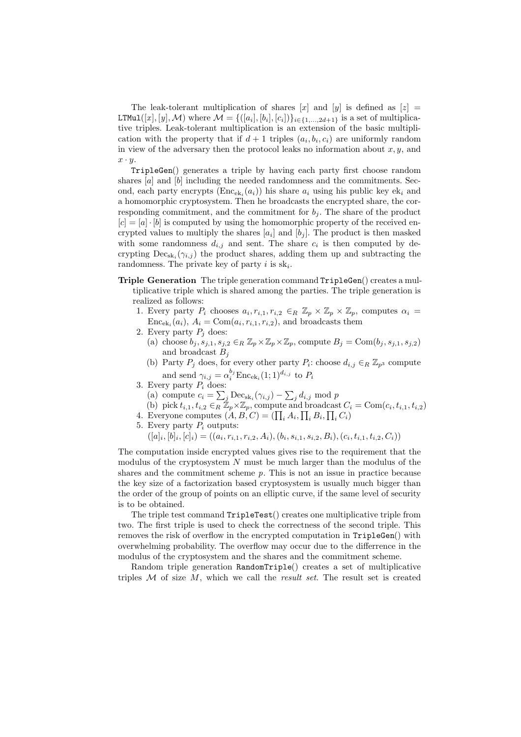The leak-tolerant multiplication of shares [x] and [y] is defined as [x] = LTMul $([x], [y], \mathcal{M})$  where  $\mathcal{M} = \{([a_i], [b_i], [c_i])\}_{i \in \{1, ..., 2d+1\}}$  is a set of multiplicative triples. Leak-tolerant multiplication is an extension of the basic multiplication with the property that if  $d+1$  triples  $(a_i, b_i, c_i)$  are uniformly random in view of the adversary then the protocol leaks no information about  $x, y$ , and  $x \cdot y$ .

TripleGen() generates a triple by having each party first choose random shares [a] and [b] including the needed randomness and the commitments. Second, each party encrypts  $(Enc_{ek<sub>i</sub>}(a<sub>i</sub>))$  his share  $a<sub>i</sub>$  using his public key ek<sub>i</sub> and a homomorphic cryptosystem. Then he broadcasts the encrypted share, the corresponding commitment, and the commitment for  $b_i$ . The share of the product  $[c] = [a] \cdot [b]$  is computed by using the homomorphic property of the received encrypted values to multiply the shares  $[a_i]$  and  $[b_j]$ . The product is then masked with some randomness  $d_{i,j}$  and sent. The share  $c_i$  is then computed by decrypting  $\text{Dec}_{\text{sk}_i}(\gamma_{i,j})$  the product shares, adding them up and subtracting the randomness. The private key of party *i* is  $sk_i$ .

- Triple Generation The triple generation command TripleGen() creates a multiplicative triple which is shared among the parties. The triple generation is realized as follows:
	- 1. Every party  $P_i$  chooses  $a_i, r_{i,1}, r_{i,2} \in_R \mathbb{Z}_p \times \mathbb{Z}_p \times \mathbb{Z}_p$ , computes  $\alpha_i =$  $Enc<sub>ek<sub>i</sub></sub>(a<sub>i</sub>), A<sub>i</sub> = Com(a<sub>i</sub>, r<sub>i,1</sub>, r<sub>i,2</sub>), and broadcasts them$
	- 2. Every party  $P_j$  does:
		- (a) choose  $b_j, s_{j,1}, s_{j,2} \in_R \mathbb{Z}_p \times \mathbb{Z}_p \times \mathbb{Z}_p$ , compute  $B_j = \text{Com}(b_j, s_{j,1}, s_{j,2})$ and broadcast  $\bar{B}_j$
		- (b) Party  $P_j$  does, for every other party  $P_i$ : choose  $d_{i,j} \in_R \mathbb{Z}_{p^3}$  compute and send  $\gamma_{i,j} = \alpha_i^{b_j} \text{Enc}_{\text{ek}_i}(1;1)^{d_{i,j}}$  to  $P_i$
	- 3. Every party  $P_i$  does:
		- (a) compute  $c_i = \sum_j \text{Dec}_{sk_i}(\gamma_{i,j}) \sum_j d_{i,j} \text{ mod } p$
		- (b) pick  $t_{i,1}, t_{i,2} \in \overline{R} \mathbb{Z}_p \times \mathbb{Z}_p$ , compute and broadcast  $C_i = \text{Com}(c_i, t_{i,1}, t_{i,2})$
	- 4. Everyone computes  $(A, B, C) = (\prod_i A_i, \prod_i B_i, \prod_i C_i)$
	- 5. Every party  $P_i$  outputs:
		- $([a]_i, [b]_i, [c]_i) = ((a_i, r_{i,1}, r_{i,2}, A_i), (b_i, s_{i,1}, s_{i,2}, B_i), (c_i, t_{i,1}, t_{i,2}, C_i))$

The computation inside encrypted values gives rise to the requirement that the modulus of the cryptosystem  $N$  must be much larger than the modulus of the shares and the commitment scheme  $p$ . This is not an issue in practice because the key size of a factorization based cryptosystem is usually much bigger than the order of the group of points on an elliptic curve, if the same level of security is to be obtained.

The triple test command TripleTest() creates one multiplicative triple from two. The first triple is used to check the correctness of the second triple. This removes the risk of overflow in the encrypted computation in TripleGen() with overwhelming probability. The overflow may occur due to the differrence in the modulus of the cryptosystem and the shares and the commitment scheme.

Random triple generation RandomTriple() creates a set of multiplicative triples  $M$  of size  $M$ , which we call the *result set*. The result set is created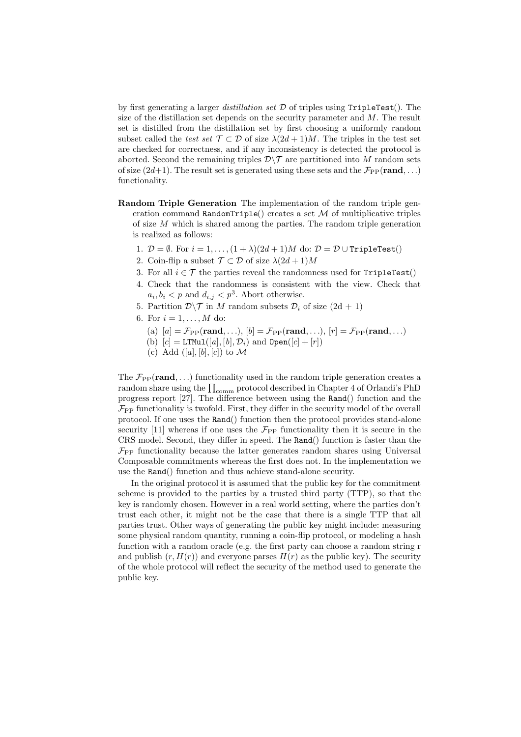by first generating a larger *distillation set*  $D$  of triples using  $Tripletest()$ . The size of the distillation set depends on the security parameter and  $M$ . The result set is distilled from the distillation set by first choosing a uniformly random subset called the test set  $\mathcal{T} \subset \mathcal{D}$  of size  $\lambda(2d+1)M$ . The triples in the test set are checked for correctness, and if any inconsistency is detected the protocol is aborted. Second the remaining triples  $\mathcal{D}\backslash\mathcal{T}$  are partitioned into M random sets of size (2d+1). The result set is generated using these sets and the  $\mathcal{F}_{\text{PP}}(\text{rand}, \ldots)$ functionality.

- Random Triple Generation The implementation of the random triple generation command RandomTriple() creates a set  $M$  of multiplicative triples of size  $M$  which is shared among the parties. The random triple generation is realized as follows:
	- 1.  $\mathcal{D} = \emptyset$ . For  $i = 1, ..., (1 + \lambda)(2d + 1)M$  do:  $\mathcal{D} = \mathcal{D} \cup \text{TripleTest}()$
	- 2. Coin-flip a subset  $\mathcal{T} \subset \mathcal{D}$  of size  $\lambda(2d+1)M$
	- 3. For all  $i \in \mathcal{T}$  the parties reveal the randomness used for TripleTest()
	- 4. Check that the randomness is consistent with the view. Check that  $a_i, b_i < p$  and  $d_{i,j} < p^3$ . Abort otherwise.
	- 5. Partition  $\mathcal{D}\setminus\mathcal{T}$  in M random subsets  $\mathcal{D}_i$  of size  $(2d + 1)$
	- 6. For  $i = 1, ..., M$  do:
		- (a)  $[a] = \mathcal{F}_{\text{PP}}(\text{rand}, \ldots), [b] = \mathcal{F}_{\text{PP}}(\text{rand}, \ldots), [r] = \mathcal{F}_{\text{PP}}(\text{rand}, \ldots)$
		- (b)  $[c] = \text{LTMul}([a], [b], \mathcal{D}_i)$  and  $\text{Open}([c] + [r])$
		- (c) Add  $([a],[b],[c])$  to M

The  $\mathcal{F}_{\text{PP}}(\text{rand}, \ldots)$  functionality used in the random triple generation creates a random share using the  $\prod_{\mathrm{comm}}$  protocol described in Chapter 4 of Orlandi's PhD progress report [27]. The difference between using the Rand() function and the  $\mathcal{F}_{\text{PP}}$  functionality is twofold. First, they differ in the security model of the overall protocol. If one uses the Rand() function then the protocol provides stand-alone security [11] whereas if one uses the  $\mathcal{F}_{\text{PP}}$  functionality then it is secure in the CRS model. Second, they differ in speed. The Rand() function is faster than the  $\mathcal{F}_{\text{PP}}$  functionality because the latter generates random shares using Universal Composable commitments whereas the first does not. In the implementation we use the Rand() function and thus achieve stand-alone security.

In the original protocol it is assumed that the public key for the commitment scheme is provided to the parties by a trusted third party (TTP), so that the key is randomly chosen. However in a real world setting, where the parties don't trust each other, it might not be the case that there is a single TTP that all parties trust. Other ways of generating the public key might include: measuring some physical random quantity, running a coin-flip protocol, or modeling a hash function with a random oracle (e.g. the first party can choose a random string r and publish  $(r, H(r))$  and everyone parses  $H(r)$  as the public key). The security of the whole protocol will reflect the security of the method used to generate the public key.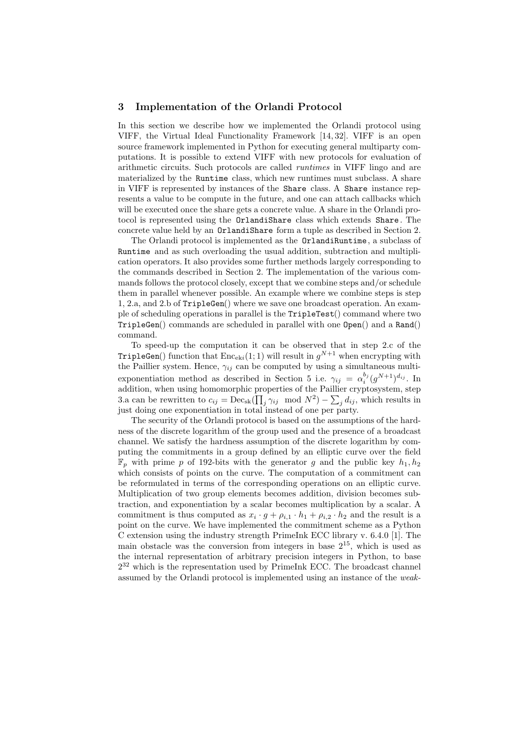## 3 Implementation of the Orlandi Protocol

In this section we describe how we implemented the Orlandi protocol using VIFF, the Virtual Ideal Functionality Framework [14, 32]. VIFF is an open source framework implemented in Python for executing general multiparty computations. It is possible to extend VIFF with new protocols for evaluation of arithmetic circuits. Such protocols are called runtimes in VIFF lingo and are materialized by the Runtime class, which new runtimes must subclass. A share in VIFF is represented by instances of the Share class. A Share instance represents a value to be compute in the future, and one can attach callbacks which will be executed once the share gets a concrete value. A share in the Orlandi protocol is represented using the OrlandiShare class which extends Share . The concrete value held by an OrlandiShare form a tuple as described in Section 2.

The Orlandi protocol is implemented as the OrlandiRuntime, a subclass of Runtime and as such overloading the usual addition, subtraction and multiplication operators. It also provides some further methods largely corresponding to the commands described in Section 2. The implementation of the various commands follows the protocol closely, except that we combine steps and/or schedule them in parallel whenever possible. An example where we combine steps is step 1, 2.a, and 2.b of TripleGen() where we save one broadcast operation. An example of scheduling operations in parallel is the TripleTest() command where two TripleGen() commands are scheduled in parallel with one Open() and a Rand() command.

To speed-up the computation it can be observed that in step 2.c of the TripleGen() function that  $\mathrm{Enc}_{\mathrm{eki}}(1;1)$  will result in  $g^{N+1}$  when encrypting with the Paillier system. Hence,  $\gamma_{ij}$  can be computed by using a simultaneous multiexponentiation method as described in Section 5 i.e.  $\gamma_{ij} = \alpha_i^{b_j} (g^{N+1})^{d_{ij}}$ . In addition, when using homomorphic properties of the Paillier cryptosystem, step 3.a can be rewritten to  $c_{ij} = \text{Dec}_{sk}(\prod_j \gamma_{ij} \mod N^2) - \sum_j d_{ij}$ , which results in just doing one exponentiation in total instead of one per party.

The security of the Orlandi protocol is based on the assumptions of the hardness of the discrete logarithm of the group used and the presence of a broadcast channel. We satisfy the hardness assumption of the discrete logarithm by computing the commitments in a group defined by an elliptic curve over the field  $\mathbb{F}_p$  with prime p of 192-bits with the generator g and the public key  $h_1, h_2$ which consists of points on the curve. The computation of a commitment can be reformulated in terms of the corresponding operations on an elliptic curve. Multiplication of two group elements becomes addition, division becomes subtraction, and exponentiation by a scalar becomes multiplication by a scalar. A commitment is thus computed as  $x_i \cdot g + \rho_{i,1} \cdot h_1 + \rho_{i,2} \cdot h_2$  and the result is a point on the curve. We have implemented the commitment scheme as a Python C extension using the industry strength PrimeInk ECC library v. 6.4.0 [1]. The main obstacle was the conversion from integers in base  $2^{15}$ , which is used as the internal representation of arbitrary precision integers in Python, to base  $2^{32}$  which is the representation used by PrimeInk ECC. The broadcast channel assumed by the Orlandi protocol is implemented using an instance of the weak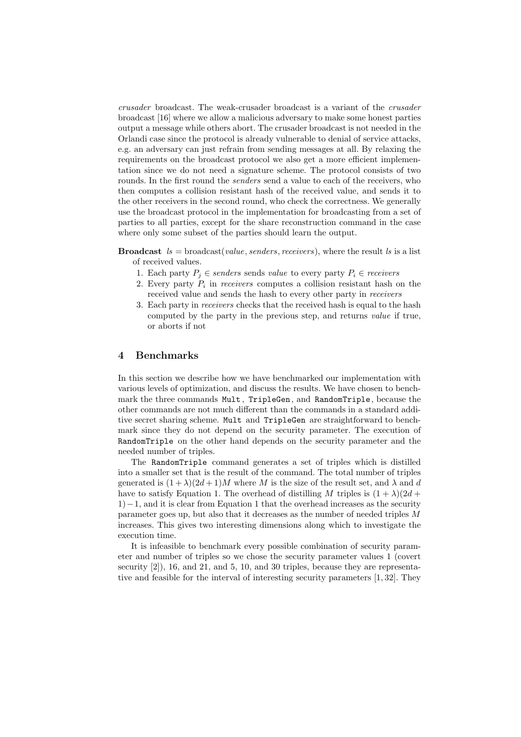crusader broadcast. The weak-crusader broadcast is a variant of the crusader broadcast [16] where we allow a malicious adversary to make some honest parties output a message while others abort. The crusader broadcast is not needed in the Orlandi case since the protocol is already vulnerable to denial of service attacks, e.g. an adversary can just refrain from sending messages at all. By relaxing the requirements on the broadcast protocol we also get a more efficient implementation since we do not need a signature scheme. The protocol consists of two rounds. In the first round the *senders* send a value to each of the receivers, who then computes a collision resistant hash of the received value, and sends it to the other receivers in the second round, who check the correctness. We generally use the broadcast protocol in the implementation for broadcasting from a set of parties to all parties, except for the share reconstruction command in the case where only some subset of the parties should learn the output.

**Broadcast**  $ls = broadcast(value, senders, receivers)$ , where the result ls is a list of received values.

- 1. Each party  $P_i \in senders$  sends value to every party  $P_i \in receivers$
- 2. Every party  $P_i$  in *receivers* computes a collision resistant hash on the received value and sends the hash to every other party in receivers
- 3. Each party in receivers checks that the received hash is equal to the hash computed by the party in the previous step, and returns value if true, or aborts if not

## 4 Benchmarks

In this section we describe how we have benchmarked our implementation with various levels of optimization, and discuss the results. We have chosen to benchmark the three commands Mult , TripleGen, and RandomTriple, because the other commands are not much different than the commands in a standard additive secret sharing scheme. Mult and TripleGen are straightforward to benchmark since they do not depend on the security parameter. The execution of RandomTriple on the other hand depends on the security parameter and the needed number of triples.

The RandomTriple command generates a set of triples which is distilled into a smaller set that is the result of the command. The total number of triples generated is  $(1 + \lambda)(2d + 1)M$  where M is the size of the result set, and  $\lambda$  and d have to satisfy Equation 1. The overhead of distilling M triples is  $(1 + \lambda)(2d +$ 1)−1, and it is clear from Equation 1 that the overhead increases as the security parameter goes up, but also that it decreases as the number of needed triples M increases. This gives two interesting dimensions along which to investigate the execution time.

It is infeasible to benchmark every possible combination of security parameter and number of triples so we chose the security parameter values 1 (covert security [2]), 16, and 21, and 5, 10, and 30 triples, because they are representative and feasible for the interval of interesting security parameters [1, 32]. They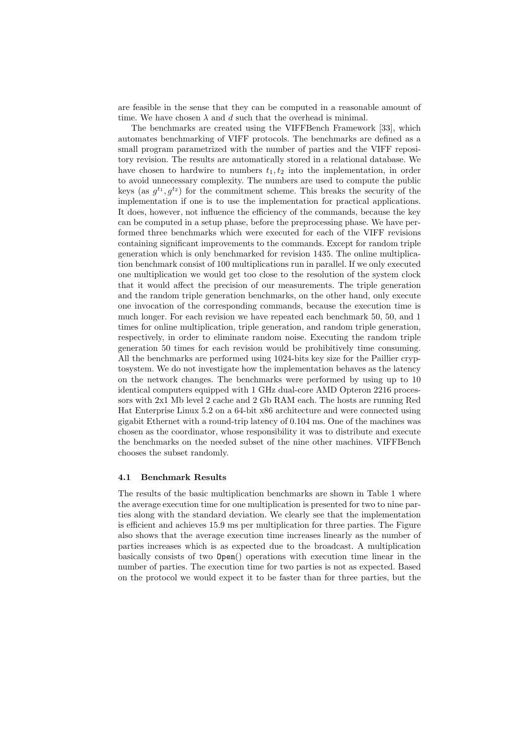are feasible in the sense that they can be computed in a reasonable amount of time. We have chosen  $\lambda$  and d such that the overhead is minimal.

The benchmarks are created using the VIFFBench Framework [33], which automates benchmarking of VIFF protocols. The benchmarks are defined as a small program parametrized with the number of parties and the VIFF repository revision. The results are automatically stored in a relational database. We have chosen to hardwire to numbers  $t_1, t_2$  into the implementation, in order to avoid unnecessary complexity. The numbers are used to compute the public keys (as  $g^{t_1}, g^{t_2}$ ) for the commitment scheme. This breaks the security of the implementation if one is to use the implementation for practical applications. It does, however, not influence the efficiency of the commands, because the key can be computed in a setup phase, before the preprocessing phase. We have performed three benchmarks which were executed for each of the VIFF revisions containing significant improvements to the commands. Except for random triple generation which is only benchmarked for revision 1435. The online multiplication benchmark consist of 100 multiplications run in parallel. If we only executed one multiplication we would get too close to the resolution of the system clock that it would affect the precision of our measurements. The triple generation and the random triple generation benchmarks, on the other hand, only execute one invocation of the corresponding commands, because the execution time is much longer. For each revision we have repeated each benchmark 50, 50, and 1 times for online multiplication, triple generation, and random triple generation, respectively, in order to eliminate random noise. Executing the random triple generation 50 times for each revision would be prohibitively time consuming. All the benchmarks are performed using 1024-bits key size for the Paillier cryptosystem. We do not investigate how the implementation behaves as the latency on the network changes. The benchmarks were performed by using up to 10 identical computers equipped with 1 GHz dual-core AMD Opteron 2216 processors with 2x1 Mb level 2 cache and 2 Gb RAM each. The hosts are running Red Hat Enterprise Linux 5.2 on a 64-bit x86 architecture and were connected using gigabit Ethernet with a round-trip latency of 0.104 ms. One of the machines was chosen as the coordinator, whose responsibility it was to distribute and execute the benchmarks on the needed subset of the nine other machines. VIFFBench chooses the subset randomly.

### 4.1 Benchmark Results

The results of the basic multiplication benchmarks are shown in Table 1 where the average execution time for one multiplication is presented for two to nine parties along with the standard deviation. We clearly see that the implementation is efficient and achieves 15.9 ms per multiplication for three parties. The Figure also shows that the average execution time increases linearly as the number of parties increases which is as expected due to the broadcast. A multiplication basically consists of two Open() operations with execution time linear in the number of parties. The execution time for two parties is not as expected. Based on the protocol we would expect it to be faster than for three parties, but the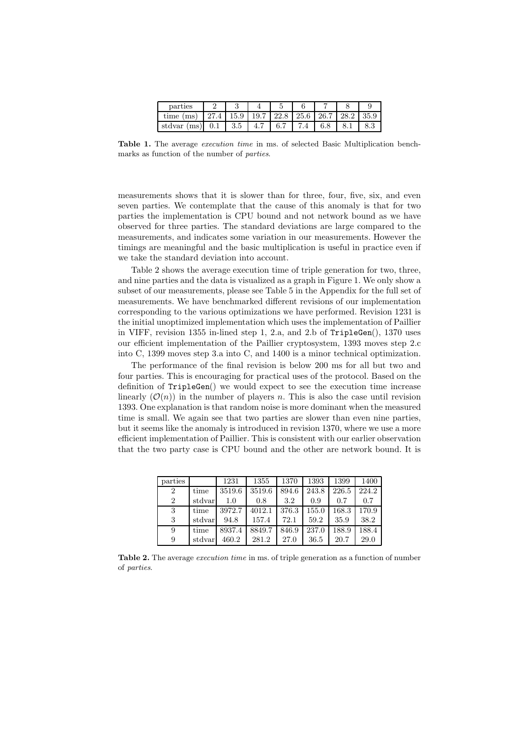| parties     |      |      |     |                            |           |     |      |
|-------------|------|------|-----|----------------------------|-----------|-----|------|
| time (ms)   | 27.4 | 15.9 |     | $19.7 \mid 22.8 \mid 25.6$ | 26.7 28.2 |     | 35.9 |
| stdvar (ms) | 0.1  | 3.5  | 4.7 | 6.7                        |           | 8.1 |      |

Table 1. The average *execution time* in ms. of selected Basic Multiplication benchmarks as function of the number of parties.

measurements shows that it is slower than for three, four, five, six, and even seven parties. We contemplate that the cause of this anomaly is that for two parties the implementation is CPU bound and not network bound as we have observed for three parties. The standard deviations are large compared to the measurements, and indicates some variation in our measurements. However the timings are meaningful and the basic multiplication is useful in practice even if we take the standard deviation into account.

Table 2 shows the average execution time of triple generation for two, three, and nine parties and the data is visualized as a graph in Figure 1. We only show a subset of our measurements, please see Table 5 in the Appendix for the full set of measurements. We have benchmarked different revisions of our implementation corresponding to the various optimizations we have performed. Revision 1231 is the initial unoptimized implementation which uses the implementation of Paillier in VIFF, revision 1355 in-lined step 1, 2.a, and 2.b of TripleGen(), 1370 uses our efficient implementation of the Paillier cryptosystem, 1393 moves step 2.c into C, 1399 moves step 3.a into C, and 1400 is a minor technical optimization.

The performance of the final revision is below 200 ms for all but two and four parties. This is encouraging for practical uses of the protocol. Based on the definition of TripleGen() we would expect to see the execution time increase linearly  $(\mathcal{O}(n))$  in the number of players n. This is also the case until revision 1393. One explanation is that random noise is more dominant when the measured time is small. We again see that two parties are slower than even nine parties, but it seems like the anomaly is introduced in revision 1370, where we use a more efficient implementation of Paillier. This is consistent with our earlier observation that the two party case is CPU bound and the other are network bound. It is

| parties        |         | 1231   | 1355   | 1370  | 1393  | 1399  | 1400  |
|----------------|---------|--------|--------|-------|-------|-------|-------|
| $\overline{2}$ | time    | 3519.6 | 3519.6 | 894.6 | 243.8 | 226.5 | 224.2 |
| $\overline{2}$ | stdvarl | 1.0    | 0.8    | 3.2   | 0.9   | 0.7   | 0.7   |
| 3              | time    | 3972.7 | 4012.1 | 376.3 | 155.0 | 168.3 | 170.9 |
| 3              | stdvar  | 94.8   | 157.4  | 72.1  | 59.2  | 35.9  | 38.2  |
| 9              | time    | 8937.4 | 8849.7 | 846.9 | 237.0 | 188.9 | 188.4 |
| 9              | stdvar  | 460.2  | 281.2  | 27.0  | 36.5  | 20.7  | 29.0  |

Table 2. The average *execution time* in ms. of triple generation as a function of number of parties.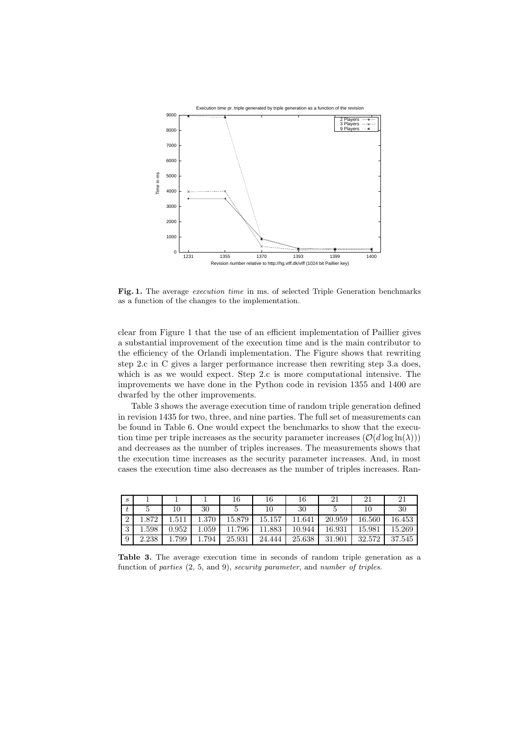

Fig. 1. The average *execution time* in ms. of selected Triple Generation benchmarks as a function of the changes to the implementation.

clear from Figure 1 that the use of an efficient implementation of Paillier gives a substantial improvement of the execution time and is the main contributor to the efficiency of the Orlandi implementation. The Figure shows that rewriting step 2.c in C gives a larger performance increase then rewriting step 3.a does, which is as we would expect. Step 2.c is more computational intensive. The improvements we have done in the Python code in revision 1355 and 1400 are dwarfed by the other improvements.

Table 3 shows the average execution time of random triple generation defined in revision 1435 for two, three, and nine parties. The full set of measurements can be found in Table 6. One would expect the benchmarks to show that the execution time per triple increases as the security parameter increases  $(\mathcal{O}(d \log \ln(\lambda)))$ and decreases as the number of triples increases. The measurements shows that the execution time increases as the security parameter increases. And, in most cases the execution time also decreases as the number of triples increases. Ran-

| S  |       |       |       | 16     | 16     | 16     | 21     | 21     |        |
|----|-------|-------|-------|--------|--------|--------|--------|--------|--------|
|    |       |       | 30    |        |        | 30     |        |        | 30     |
| ച  | 0.872 |       | 1.370 | 15.879 | 15.157 | .641   | 20.959 | 16.560 | 16.453 |
| -3 | 1.598 | 0.952 | 1.059 | 11.796 | 11.883 | 10.944 | 16.931 | 15.981 | 15.269 |
| -9 | 2.238 | 1.799 | 1.794 | 25.931 | 24.444 | 25.638 | 31.901 | 32.572 | 37.545 |

Table 3. The average execution time in seconds of random triple generation as a function of parties  $(2, 5, \text{ and } 9)$ , security parameter, and number of triples.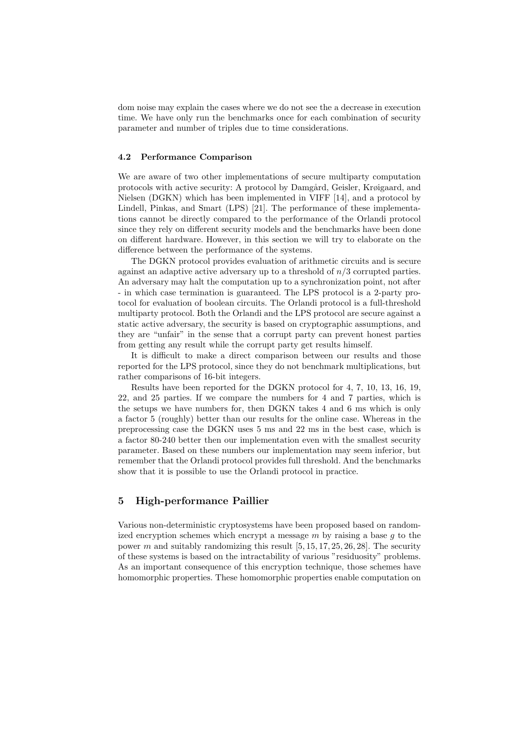dom noise may explain the cases where we do not see the a decrease in execution time. We have only run the benchmarks once for each combination of security parameter and number of triples due to time considerations.

### 4.2 Performance Comparison

We are aware of two other implementations of secure multiparty computation protocols with active security: A protocol by Damgård, Geisler, Krøigaard, and Nielsen (DGKN) which has been implemented in VIFF [14], and a protocol by Lindell, Pinkas, and Smart (LPS) [21]. The performance of these implementations cannot be directly compared to the performance of the Orlandi protocol since they rely on different security models and the benchmarks have been done on different hardware. However, in this section we will try to elaborate on the difference between the performance of the systems.

The DGKN protocol provides evaluation of arithmetic circuits and is secure against an adaptive active adversary up to a threshold of  $n/3$  corrupted parties. An adversary may halt the computation up to a synchronization point, not after - in which case termination is guaranteed. The LPS protocol is a 2-party protocol for evaluation of boolean circuits. The Orlandi protocol is a full-threshold multiparty protocol. Both the Orlandi and the LPS protocol are secure against a static active adversary, the security is based on cryptographic assumptions, and they are "unfair" in the sense that a corrupt party can prevent honest parties from getting any result while the corrupt party get results himself.

It is difficult to make a direct comparison between our results and those reported for the LPS protocol, since they do not benchmark multiplications, but rather comparisons of 16-bit integers.

Results have been reported for the DGKN protocol for 4, 7, 10, 13, 16, 19, 22, and 25 parties. If we compare the numbers for 4 and 7 parties, which is the setups we have numbers for, then DGKN takes 4 and 6 ms which is only a factor 5 (roughly) better than our results for the online case. Whereas in the preprocessing case the DGKN uses 5 ms and 22 ms in the best case, which is a factor 80-240 better then our implementation even with the smallest security parameter. Based on these numbers our implementation may seem inferior, but remember that the Orlandi protocol provides full threshold. And the benchmarks show that it is possible to use the Orlandi protocol in practice.

# 5 High-performance Paillier

Various non-deterministic cryptosystems have been proposed based on randomized encryption schemes which encrypt a message  $m$  by raising a base  $q$  to the power m and suitably randomizing this result  $[5, 15, 17, 25, 26, 28]$ . The security of these systems is based on the intractability of various "residuosity" problems. As an important consequence of this encryption technique, those schemes have homomorphic properties. These homomorphic properties enable computation on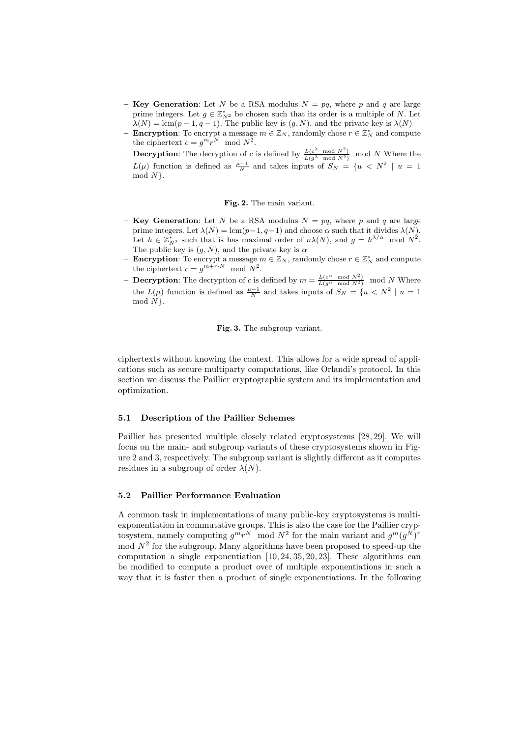- Key Generation: Let N be a RSA modulus  $N = pq$ , where p and q are large prime integers. Let  $g \in \mathbb{Z}_{N^2}^*$  be chosen such that its order is a multiple of N. Let  $\lambda(N) = \text{lcm}(p-1, q-1)$ . The public key is  $(g, N)$ , and the private key is  $\lambda(N)$
- **Encryption**: To encrypt a message  $m \in \mathbb{Z}_N$ , randomly chose  $r \in \mathbb{Z}_N^*$  and compute the ciphertext  $c = g^m r^N \mod N^2$ .
- **Decryption:** The decryption of c is defined by  $\frac{L(c^{\lambda} \mod N^2)}{L(g^{\lambda} \mod N^2)}$  mod N Where the  $L(\mu)$  function is defined as  $\frac{\mu-1}{N}$  and takes inputs of  $S_N = \{u \lt N^2 \mid u = 1\}$ mod  $N$ .

Fig. 2. The main variant.

- Key Generation: Let N be a RSA modulus  $N = pq$ , where p and q are large prime integers. Let  $\lambda(N) = \text{lcm}(p-1, q-1)$  and choose  $\alpha$  such that it divides  $\lambda(N)$ . Let  $h \in \mathbb{Z}_{N^2}^*$  such that is has maximal order of  $n\lambda(N)$ , and  $g = h^{\lambda/\alpha} \mod N^2$ . The public key is  $(g, N)$ , and the private key is  $\alpha$
- **Encryption:** To encrypt a message  $m \in \mathbb{Z}_N$ , randomly chose  $r \in \mathbb{Z}_N^*$  and compute the ciphertext  $c = g^{m+r\cdot N} \mod N^2$ .
- **Decryption:** The decryption of c is defined by  $m = \frac{L(c^{\alpha} \mod N^2)}{L(g^{\alpha} \mod N^2)}$  mod N Where the  $L(\mu)$  function is defined as  $\frac{\mu-1}{N}$  and takes inputs of  $S_N = \{u \lt N^2 \mid u = 1\}$ mod  $N$ .

Fig. 3. The subgroup variant.

ciphertexts without knowing the context. This allows for a wide spread of applications such as secure multiparty computations, like Orlandi's protocol. In this section we discuss the Paillier cryptographic system and its implementation and optimization.

### 5.1 Description of the Paillier Schemes

Paillier has presented multiple closely related cryptosystems [28, 29]. We will focus on the main- and subgroup variants of these cryptosystems shown in Figure 2 and 3, respectively. The subgroup variant is slightly different as it computes residues in a subgroup of order  $\lambda(N)$ .

#### 5.2 Paillier Performance Evaluation

A common task in implementations of many public-key cryptosystems is multiexponentiation in commutative groups. This is also the case for the Paillier cryptosystem, namely computing  $g^m r^N \mod N^2$  for the main variant and  $g^m (g^N)^r$ mod  $N^2$  for the subgroup. Many algorithms have been proposed to speed-up the computation a single exponentiation  $[10, 24, 35, 20, 23]$ . These algorithms can be modified to compute a product over of multiple exponentiations in such a way that it is faster then a product of single exponentiations. In the following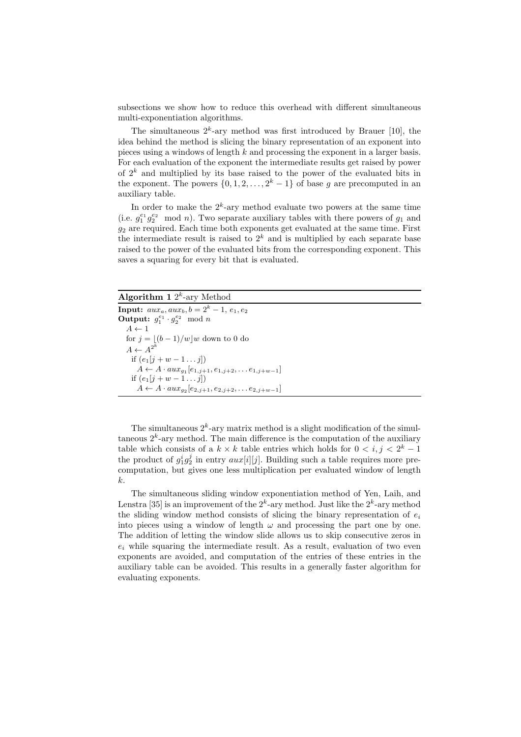subsections we show how to reduce this overhead with different simultaneous multi-exponentiation algorithms.

The simultaneous  $2^k$ -ary method was first introduced by Brauer [10], the idea behind the method is slicing the binary representation of an exponent into pieces using a windows of length  $k$  and processing the exponent in a larger basis. For each evaluation of the exponent the intermediate results get raised by power of  $2^k$  and multiplied by its base raised to the power of the evaluated bits in the exponent. The powers  $\{0, 1, 2, \ldots, 2^k - 1\}$  of base g are precomputed in an auxiliary table.

In order to make the  $2^k$ -ary method evaluate two powers at the same time (i.e.  $g_1^{e_1} g_2^{e_2} \mod n$ ). Two separate auxiliary tables with there powers of  $g_1$  and  $g_2$  are required. Each time both exponents get evaluated at the same time. First the intermediate result is raised to  $2<sup>k</sup>$  and is multiplied by each separate base raised to the power of the evaluated bits from the corresponding exponent. This saves a squaring for every bit that is evaluated.

## Algorithm 1  $2^k$ -ary Method

```
Input: aux_a, aux_b, b = 2^k - 1, e_1, e_2Output: g_1^{e_1} \cdot g_2^{e_2} \mod nA \leftarrow 1for j = \lfloor (b-1)/w \rfloor w down to 0 do
A \leftarrow A^{2^k}if (e_1[j + w - 1 \dots j])A \leftarrow A \cdot aux_{g_1}[e_{1,j+1}, e_{1,j+2}, \ldots e_{1,j+w-1}]if (e_1[j + w - 1 \dots j])A \leftarrow A \cdot aux_{g_2}[e_{2,j+1}, e_{2,j+2}, \ldots e_{2,j+w-1}]
```
The simultaneous  $2^k$ -ary matrix method is a slight modification of the simultaneous  $2^k$ -ary method. The main difference is the computation of the auxiliary table which consists of a  $k \times k$  table entries which holds for  $0 \lt i, j \lt 2^k - 1$ the product of  $g_1^i g_2^j$  in entry  $aux[i][j]$ . Building such a table requires more precomputation, but gives one less multiplication per evaluated window of length k.

The simultaneous sliding window exponentiation method of Yen, Laih, and Lenstra [35] is an improvement of the  $2^k$ -ary method. Just like the  $2^k$ -ary method the sliding window method consists of slicing the binary representation of  $e_i$ into pieces using a window of length  $\omega$  and processing the part one by one. The addition of letting the window slide allows us to skip consecutive zeros in  $e_i$  while squaring the intermediate result. As a result, evaluation of two even exponents are avoided, and computation of the entries of these entries in the auxiliary table can be avoided. This results in a generally faster algorithm for evaluating exponents.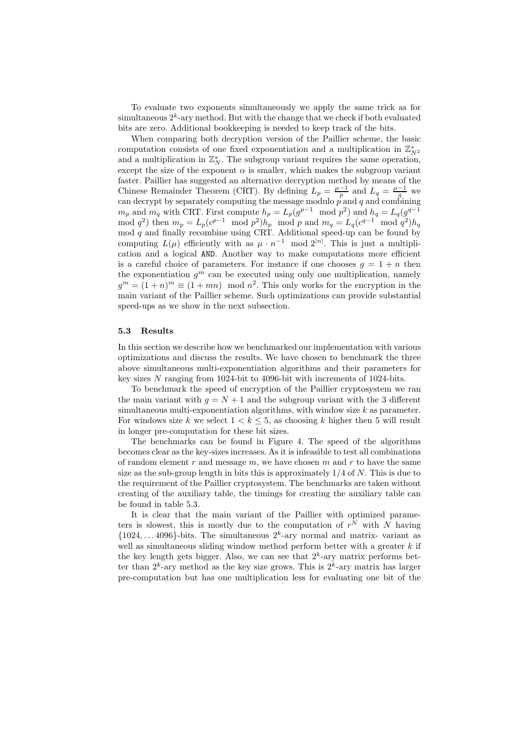To evaluate two exponents simultaneously we apply the same trick as for simultaneous  $2^k$ -ary method. But with the change that we check if both evaluated bits are zero. Additional bookkeeping is needed to keep track of the bits.

When comparing both decryption version of the Paillier scheme, the basic computation consists of one fixed exponentiation and a multiplication in  $\mathbb{Z}_{N^2}^*$ and a multiplication in  $\mathbb{Z}_N^*$ . The subgroup variant requires the same operation, except the size of the exponent  $\alpha$  is smaller, which makes the subgroup variant faster. Paillier has suggested an alternative decryption method by means of the Chinese Remainder Theorem (CRT). By defining  $L_p = \frac{\mu - 1}{p}$  and  $L_q = \frac{\mu - 1}{q}$  we can decrypt by separately computing the message modulo  $\hat{p}$  and  $q$  and combining  $m_p$  and  $m_q$  with CRT. First compute  $h_p = L_p(g^{p-1} \mod p^2)$  and  $h_q = L_q(g^{q-1} \mod p^2)$ mod  $q^2$ ) then  $m_p = L_p(c^{p-1} \mod p^2)h_p \mod p$  and  $m_q = L_q(c^{q-1} \mod q^2)h_q$ mod  $q$  and finally recombine using CRT. Additional speed-up can be found by computing  $L(\mu)$  efficiently with as  $\mu \cdot n^{-1}$  mod  $2^{|n|}$ . This is just a multiplication and a logical AND. Another way to make computations more efficient is a careful choice of parameters. For instance if one chooses  $q = 1 + n$  then the exponentiation  $g^m$  can be executed using only one multiplication, namely  $g^m = (1+n)^m \equiv (1+mn) \mod n^2$ . This only works for the encryption in the main variant of the Paillier scheme. Such optimizations can provide substantial speed-ups as we show in the next subsection.

#### 5.3 Results

In this section we describe how we benchmarked our implementation with various optimizations and discuss the results. We have chosen to benchmark the three above simultaneous multi-exponentiation algorithms and their parameters for key sizes N ranging from 1024-bit to 4096-bit with increments of 1024-bits.

To benchmark the speed of encryption of the Paillier cryptosystem we ran the main variant with  $q = N + 1$  and the subgroup variant with the 3 different simultaneous multi-exponentiation algorithms, with window size  $k$  as parameter. For windows size k we select  $1 < k \leq 5$ , as choosing k higher then 5 will result in longer pre-computation for these bit sizes.

The benchmarks can be found in Figure 4. The speed of the algorithms becomes clear as the key-sizes increases. As it is infeasible to test all combinations of random element r and message  $m$ , we have chosen  $m$  and r to have the same size as the sub-group length in bits this is approximately  $1/4$  of N. This is due to the requirement of the Paillier cryptosystem. The benchmarks are taken without creating of the auxiliary table, the timings for creating the auxiliary table can be found in table 5.3.

It is clear that the main variant of the Paillier with optimized parameters is slowest, this is mostly due to the computation of  $r^N$  with N having  $\{1024, \ldots 4096\}$ -bits. The simultaneous  $2^k$ -ary normal and matrix- variant as well as simultaneous sliding window method perform better with a greater  $k$  if the key length gets bigger. Also, we can see that  $2^k$ -ary matrix performs better than  $2^k$ -ary method as the key size grows. This is  $2^k$ -ary matrix has larger pre-computation but has one multiplication less for evaluating one bit of the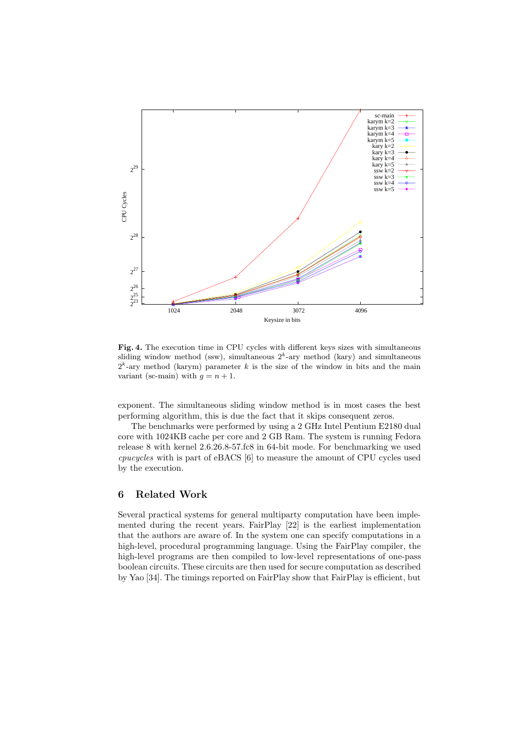

Fig. 4. The execution time in CPU cycles with different keys sizes with simultaneous sliding window method (ssw), simultaneous  $2^k$ -ary method (kary) and simultaneous  $2^k$ -ary method (karym) parameter k is the size of the window in bits and the main variant (sc-main) with  $q = n + 1$ .

exponent. The simultaneous sliding window method is in most cases the best performing algorithm, this is due the fact that it skips consequent zeros.

The benchmarks were performed by using a 2 GHz Intel Pentium E2180 dual core with 1024KB cache per core and 2 GB Ram. The system is running Fedora release 8 with kernel 2.6.26.8-57.fc8 in 64-bit mode. For benchmarking we used cpucycles with is part of eBACS [6] to measure the amount of CPU cycles used by the execution.

# 6 Related Work

Several practical systems for general multiparty computation have been implemented during the recent years. FairPlay [22] is the earliest implementation that the authors are aware of. In the system one can specify computations in a high-level, procedural programming language. Using the FairPlay compiler, the high-level programs are then compiled to low-level representations of one-pass boolean circuits. These circuits are then used for secure computation as described by Yao [34]. The timings reported on FairPlay show that FairPlay is efficient, but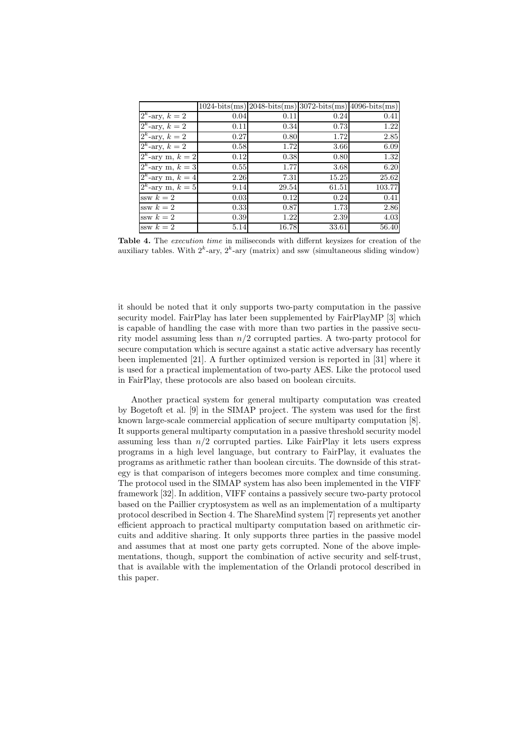|                       |      |       |       | $1024-bits(ms)$ $\sqrt{2048-bits(ms) \cdot 3072-bits(ms) \cdot 4096-bits(ms)}$ |
|-----------------------|------|-------|-------|--------------------------------------------------------------------------------|
| $2^k$ -ary, $k = 2$   | 0.04 | 0.11  | 0.24  | 0.41                                                                           |
| $2^k$ -ary, $k=2$     | 0.11 | 0.34  | 0.73  | 1.22                                                                           |
| $2^k$ -ary, $k=2$     | 0.27 | 0.80  | 1.72  | 2.85                                                                           |
| $2^k$ -ary, $k = 2$   | 0.58 | 1.72  | 3.66  | 6.09                                                                           |
| $2^k$ -ary m, $k = 2$ | 0.12 | 0.38  | 0.80  | 1.32                                                                           |
| $2^k$ -ary m, $k = 3$ | 0.55 | 1.77  | 3.68  | 6.20                                                                           |
| $2^k$ -ary m, $k = 4$ | 2.26 | 7.31  | 15.25 | 25.62                                                                          |
| $2^k$ -ary m, $k=5$   | 9.14 | 29.54 | 61.51 | 103.77                                                                         |
| ssw $k=2$             | 0.03 | 0.12  | 0.24  | 0.41                                                                           |
| ssw $k=2$             | 0.33 | 0.87  | 1.73  | 2.86                                                                           |
| ssw $k=2$             | 0.39 | 1.22  | 2.39  | 4.03                                                                           |
| ssw $k=2$             | 5.14 | 16.78 | 33.61 | 56.40                                                                          |

Table 4. The *execution time* in miliseconds with differnt keysizes for creation of the auxiliary tables. With  $2^k$ -ary,  $2^k$ -ary (matrix) and ssw (simultaneous sliding window)

it should be noted that it only supports two-party computation in the passive security model. FairPlay has later been supplemented by FairPlayMP [3] which is capable of handling the case with more than two parties in the passive security model assuming less than  $n/2$  corrupted parties. A two-party protocol for secure computation which is secure against a static active adversary has recently been implemented [21]. A further optimized version is reported in [31] where it is used for a practical implementation of two-party AES. Like the protocol used in FairPlay, these protocols are also based on boolean circuits.

Another practical system for general multiparty computation was created by Bogetoft et al. [9] in the SIMAP project. The system was used for the first known large-scale commercial application of secure multiparty computation [8]. It supports general multiparty computation in a passive threshold security model assuming less than  $n/2$  corrupted parties. Like FairPlay it lets users express programs in a high level language, but contrary to FairPlay, it evaluates the programs as arithmetic rather than boolean circuits. The downside of this strategy is that comparison of integers becomes more complex and time consuming. The protocol used in the SIMAP system has also been implemented in the VIFF framework [32]. In addition, VIFF contains a passively secure two-party protocol based on the Paillier cryptosystem as well as an implementation of a multiparty protocol described in Section 4. The ShareMind system [7] represents yet another efficient approach to practical multiparty computation based on arithmetic circuits and additive sharing. It only supports three parties in the passive model and assumes that at most one party gets corrupted. None of the above implementations, though, support the combination of active security and self-trust, that is available with the implementation of the Orlandi protocol described in this paper.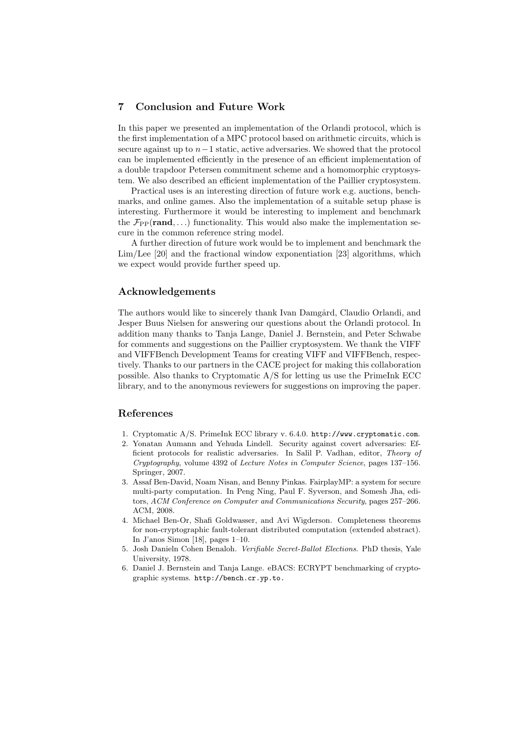# 7 Conclusion and Future Work

In this paper we presented an implementation of the Orlandi protocol, which is the first implementation of a MPC protocol based on arithmetic circuits, which is secure against up to  $n-1$  static, active adversaries. We showed that the protocol can be implemented efficiently in the presence of an efficient implementation of a double trapdoor Petersen commitment scheme and a homomorphic cryptosystem. We also described an efficient implementation of the Paillier cryptosystem.

Practical uses is an interesting direction of future work e.g. auctions, benchmarks, and online games. Also the implementation of a suitable setup phase is interesting. Furthermore it would be interesting to implement and benchmark the  $\mathcal{F}_{PP}(rand, ...)$  functionality. This would also make the implementation secure in the common reference string model.

A further direction of future work would be to implement and benchmark the Lim/Lee [20] and the fractional window exponentiation [23] algorithms, which we expect would provide further speed up.

## Acknowledgements

The authors would like to sincerely thank Ivan Damgård, Claudio Orlandi, and Jesper Buus Nielsen for answering our questions about the Orlandi protocol. In addition many thanks to Tanja Lange, Daniel J. Bernstein, and Peter Schwabe for comments and suggestions on the Paillier cryptosystem. We thank the VIFF and VIFFBench Development Teams for creating VIFF and VIFFBench, respectively. Thanks to our partners in the CACE project for making this collaboration possible. Also thanks to Cryptomatic  $A/S$  for letting us use the PrimeInk ECC library, and to the anonymous reviewers for suggestions on improving the paper.

## References

- 1. Cryptomatic A/S. PrimeInk ECC library v. 6.4.0. http://www.cryptomatic.com.
- 2. Yonatan Aumann and Yehuda Lindell. Security against covert adversaries: Efficient protocols for realistic adversaries. In Salil P. Vadhan, editor, Theory of Cryptography, volume 4392 of Lecture Notes in Computer Science, pages 137–156. Springer, 2007.
- 3. Assaf Ben-David, Noam Nisan, and Benny Pinkas. FairplayMP: a system for secure multi-party computation. In Peng Ning, Paul F. Syverson, and Somesh Jha, editors, ACM Conference on Computer and Communications Security, pages 257–266. ACM, 2008.
- 4. Michael Ben-Or, Shafi Goldwasser, and Avi Wigderson. Completeness theorems for non-cryptographic fault-tolerant distributed computation (extended abstract). In J'anos Simon [18], pages 1–10.
- 5. Josh Danieln Cohen Benaloh. Verifiable Secret-Ballot Elections. PhD thesis, Yale University, 1978.
- 6. Daniel J. Bernstein and Tanja Lange. eBACS: ECRYPT benchmarking of cryptographic systems. http://bench.cr.yp.to.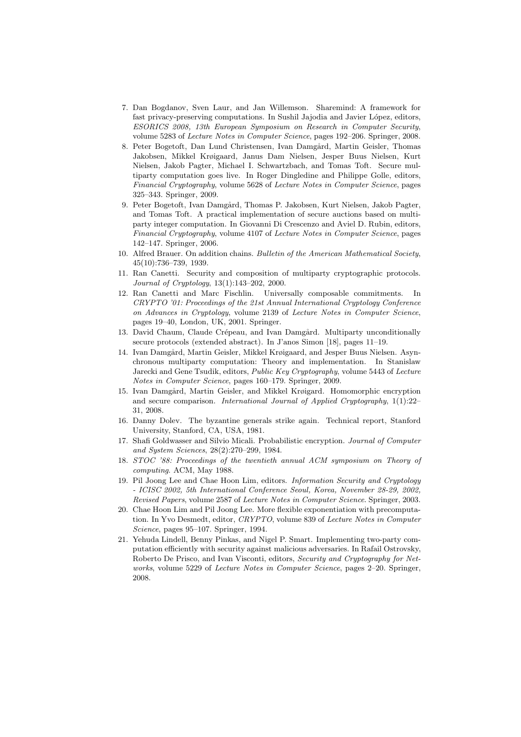- 7. Dan Bogdanov, Sven Laur, and Jan Willemson. Sharemind: A framework for fast privacy-preserving computations. In Sushil Jajodia and Javier López, editors, ESORICS 2008, 13th European Symposium on Research in Computer Security, volume 5283 of Lecture Notes in Computer Science, pages 192–206. Springer, 2008.
- 8. Peter Bogetoft, Dan Lund Christensen, Ivan Damgård, Martin Geisler, Thomas Jakobsen, Mikkel Krøigaard, Janus Dam Nielsen, Jesper Buus Nielsen, Kurt Nielsen, Jakob Pagter, Michael I. Schwartzbach, and Tomas Toft. Secure multiparty computation goes live. In Roger Dingledine and Philippe Golle, editors, Financial Cryptography, volume 5628 of Lecture Notes in Computer Science, pages 325–343. Springer, 2009.
- 9. Peter Bogetoft, Ivan Damgård, Thomas P. Jakobsen, Kurt Nielsen, Jakob Pagter, and Tomas Toft. A practical implementation of secure auctions based on multiparty integer computation. In Giovanni Di Crescenzo and Aviel D. Rubin, editors, Financial Cryptography, volume 4107 of Lecture Notes in Computer Science, pages 142–147. Springer, 2006.
- 10. Alfred Brauer. On addition chains. Bulletin of the American Mathematical Society, 45(10):736–739, 1939.
- 11. Ran Canetti. Security and composition of multiparty cryptographic protocols. Journal of Cryptology, 13(1):143–202, 2000.
- 12. Ran Canetti and Marc Fischlin. Universally composable commitments. In CRYPTO '01: Proceedings of the 21st Annual International Cryptology Conference on Advances in Cryptology, volume 2139 of Lecture Notes in Computer Science, pages 19–40, London, UK, 2001. Springer.
- 13. David Chaum, Claude Crépeau, and Ivan Damgård. Multiparty unconditionally secure protocols (extended abstract). In J'anos Simon [18], pages 11–19.
- 14. Ivan Damgård, Martin Geisler, Mikkel Krøigaard, and Jesper Buus Nielsen. Asynchronous multiparty computation: Theory and implementation. In Stanislaw Jarecki and Gene Tsudik, editors, Public Key Cryptography, volume 5443 of Lecture Notes in Computer Science, pages 160–179. Springer, 2009.
- 15. Ivan Damgård, Martin Geisler, and Mikkel Krøigard. Homomorphic encryption and secure comparison. International Journal of Applied Cryptography, 1(1):22– 31, 2008.
- 16. Danny Dolev. The byzantine generals strike again. Technical report, Stanford University, Stanford, CA, USA, 1981.
- 17. Shafi Goldwasser and Silvio Micali. Probabilistic encryption. Journal of Computer and System Sciences, 28(2):270–299, 1984.
- 18. STOC '88: Proceedings of the twentieth annual ACM symposium on Theory of computing. ACM, May 1988.
- 19. Pil Joong Lee and Chae Hoon Lim, editors. Information Security and Cryptology - ICISC 2002, 5th International Conference Seoul, Korea, November 28-29, 2002, Revised Papers, volume 2587 of Lecture Notes in Computer Science. Springer, 2003.
- 20. Chae Hoon Lim and Pil Joong Lee. More flexible exponentiation with precomputation. In Yvo Desmedt, editor, CRYPTO, volume 839 of Lecture Notes in Computer Science, pages 95–107. Springer, 1994.
- 21. Yehuda Lindell, Benny Pinkas, and Nigel P. Smart. Implementing two-party computation efficiently with security against malicious adversaries. In Rafail Ostrovsky, Roberto De Prisco, and Ivan Visconti, editors, Security and Cryptography for Networks, volume 5229 of Lecture Notes in Computer Science, pages 2–20. Springer, 2008.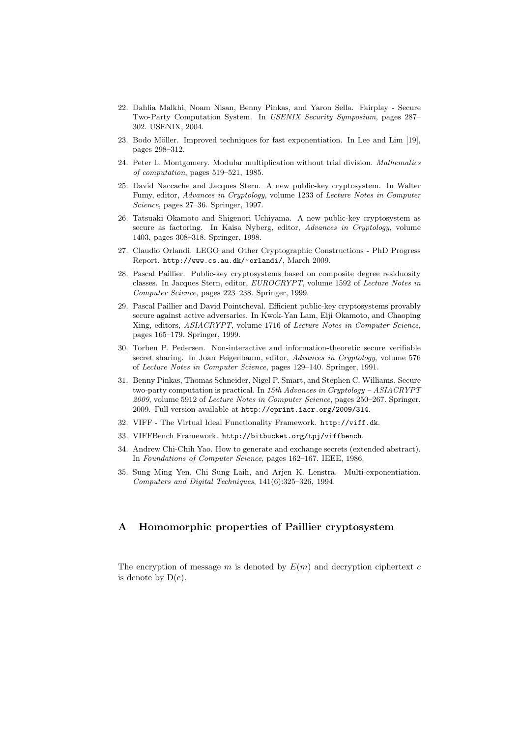- 22. Dahlia Malkhi, Noam Nisan, Benny Pinkas, and Yaron Sella. Fairplay Secure Two-Party Computation System. In USENIX Security Symposium, pages 287– 302. USENIX, 2004.
- 23. Bodo Möller. Improved techniques for fast exponentiation. In Lee and Lim [19], pages 298–312.
- 24. Peter L. Montgomery. Modular multiplication without trial division. Mathematics of computation, pages 519–521, 1985.
- 25. David Naccache and Jacques Stern. A new public-key cryptosystem. In Walter Fumy, editor, Advances in Cryptology, volume 1233 of Lecture Notes in Computer Science, pages 27–36. Springer, 1997.
- 26. Tatsuaki Okamoto and Shigenori Uchiyama. A new public-key cryptosystem as secure as factoring. In Kaisa Nyberg, editor, Advances in Cryptology, volume 1403, pages 308–318. Springer, 1998.
- 27. Claudio Orlandi. LEGO and Other Cryptographic Constructions PhD Progress Report. http://www.cs.au.dk/~orlandi/, March 2009.
- 28. Pascal Paillier. Public-key cryptosystems based on composite degree residuosity classes. In Jacques Stern, editor, EUROCRYPT, volume 1592 of Lecture Notes in Computer Science, pages 223–238. Springer, 1999.
- 29. Pascal Paillier and David Pointcheval. Efficient public-key cryptosystems provably secure against active adversaries. In Kwok-Yan Lam, Eiji Okamoto, and Chaoping Xing, editors, ASIACRYPT, volume 1716 of Lecture Notes in Computer Science, pages 165–179. Springer, 1999.
- 30. Torben P. Pedersen. Non-interactive and information-theoretic secure verifiable secret sharing. In Joan Feigenbaum, editor, Advances in Cryptology, volume 576 of Lecture Notes in Computer Science, pages 129–140. Springer, 1991.
- 31. Benny Pinkas, Thomas Schneider, Nigel P. Smart, and Stephen C. Williams. Secure two-party computation is practical. In 15th Advances in Cryptology –  $ASIACRYPT$ 2009, volume 5912 of Lecture Notes in Computer Science, pages 250–267. Springer, 2009. Full version available at http://eprint.iacr.org/2009/314.
- 32. VIFF The Virtual Ideal Functionality Framework. http://viff.dk.
- 33. VIFFBench Framework. http://bitbucket.org/tpj/viffbench.
- 34. Andrew Chi-Chih Yao. How to generate and exchange secrets (extended abstract). In Foundations of Computer Science, pages 162–167. IEEE, 1986.
- 35. Sung Ming Yen, Chi Sung Laih, and Arjen K. Lenstra. Multi-exponentiation. Computers and Digital Techniques, 141(6):325–326, 1994.

# A Homomorphic properties of Paillier cryptosystem

The encryption of message m is denoted by  $E(m)$  and decryption ciphertext c is denote by  $D(c)$ .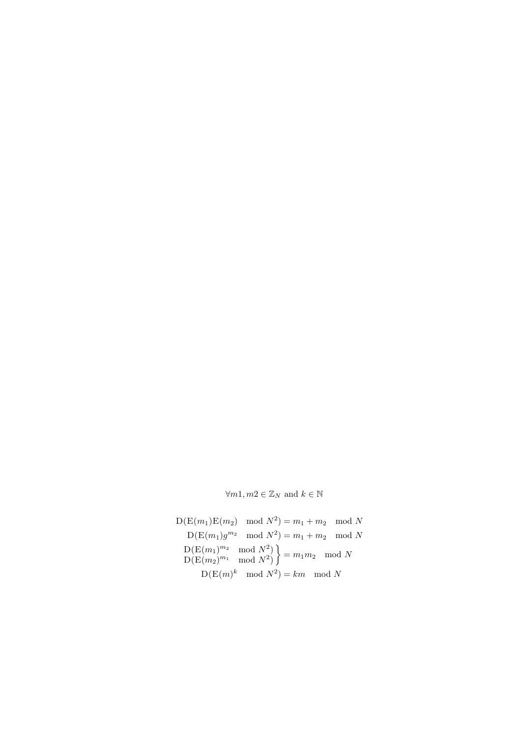$\forall m1, m2 \in \mathbb{Z}_N$  and  $k \in \mathbb{N}$ 

 $D(E(m_1)E(m_2) \mod N^2) = m_1 + m_2 \mod N$  $D(E(m_1)g^{m_2} \mod N^2) = m_1 + m_2 \mod N$  $D(E(m_1)^{m_2} \mod N^2)$  $D(E(m_2)^{m_1} \mod N^2)$  $\Big\} = m_1 m_2 \mod N$  $D(E(m)^k \mod N^2) = km \mod N$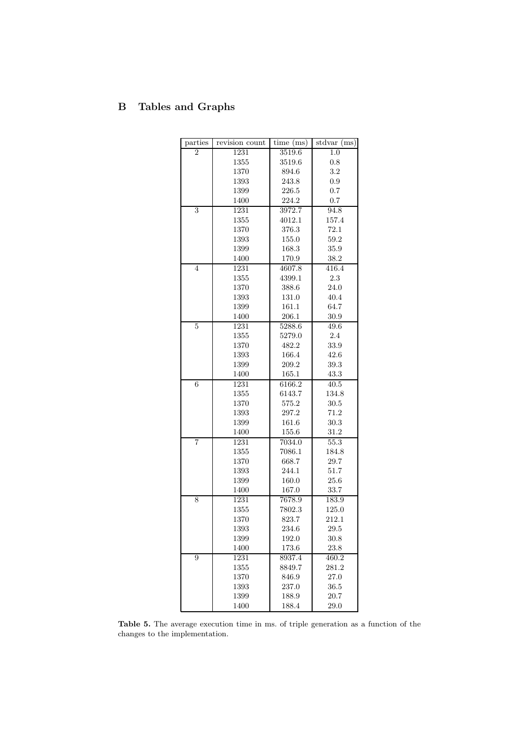# B Tables and Graphs

| parties        | revision count | time (ms)      | stdvar $(ms)$ |
|----------------|----------------|----------------|---------------|
| $\overline{2}$ | 1231           | 3519.6         | $1.0\,$       |
|                | 1355           | 3519.6         | 0.8           |
|                | 1370           | 894.6          | 3.2           |
|                | 1393           | 243.8          | 0.9           |
|                | 1399           | 226.5          | 0.7           |
|                | 1400           | 224.2          | 0.7           |
| 3              | 1231           | 3972.7         | 94.8          |
|                | 1355           | 4012.1         | 157.4         |
|                | 1370           | 376.3          | 72.1          |
|                | 1393           | 155.0          | 59.2          |
|                | 1399           | 168.3          | 35.9          |
|                | 1400           | 170.9          | 38.2          |
| 4              | 1231           | 4607.8         | 416.4         |
|                | 1355           | 4399.1         | 2.3           |
|                | 1370           | 388.6          | 24.0          |
|                | 1393           | 131.0          | 40.4          |
|                | 1399           | 161.1          | 64.7          |
|                | 1400           | 206.1          | 30.9          |
| 5              | 1231           | 5288.6         | 49.6          |
|                | 1355           | 5279.0         | 2.4           |
|                | 1370           | 482.2          | 33.9          |
|                | 1393           | 166.4          | 42.6          |
|                | 1399           | 209.2          | 39.3          |
|                | 1400           | 165.1          | 43.3          |
| 6              | 1231           | 6166.2         | 40.5          |
|                | 1355           | 6143.7         | 134.8         |
|                | 1370           | 575.2          | 30.5          |
|                | 1393<br>1399   | 297.2<br>161.6 | 71.2<br>30.3  |
|                | 1400           | 155.6          | 31.2          |
| 7              | 1231           | 7034.0         | 55.3          |
|                | 1355           | 7086.1         | 184.8         |
|                | 1370           | 668.7          | 29.7          |
|                | 1393           | 244.1          | 51.7          |
|                | 1399           | 160.0          | 25.6          |
|                | 1400           | 167.0          | 33.7          |
| 8              | 1231           | 7678.9         | 183.9         |
|                | 1355           | 7802.3         | 125.0         |
|                | 1370           | 823.7          | 212.1         |
|                | 1393           | 234.6          | $29.5\,$      |
|                | 1399           | 192.0          | $30.8\,$      |
|                | 1400           | 173.6          | 23.8          |
| 9              | 1231           | 8937.4         | 460.2         |
|                | 1355           | 8849.7         | 281.2         |
|                | 1370           | 846.9          | 27.0          |
|                | 1393           | 237.0          | 36.5          |
|                | 1399           | 188.9          | 20.7          |
|                | 1400           | 188.4          | 29.0          |

Table 5. The average execution time in ms. of triple generation as a function of the changes to the implementation.